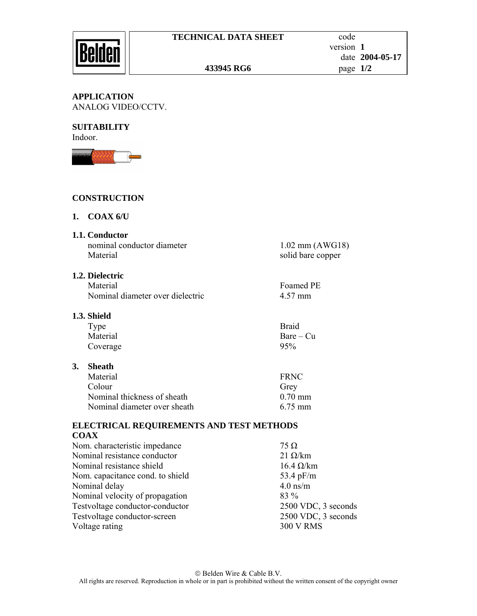#### **APPLICATION**  ANALOG VIDEO/CCTV.

#### **SUITABILITY**  Indoor.



# **CONSTRUCTION**

## **1. COAX 6/U**

**1.1. Conductor** 

nominal conductor diameter 1.02 mm (AWG18) Material solid bare copper

# **1.2. Dielectric**

Material Foamed PE Nominal diameter over dielectric 4.57 mm

## **1.3. Shield**

| Type     | <b>Braid</b> |
|----------|--------------|
| Material | $Bare - Cu$  |
| Coverage | 95%          |

## **3. Sheath**

| Material                     | <b>FRNC</b>       |
|------------------------------|-------------------|
| Colour                       | Grey              |
| Nominal thickness of sheath  | $0.70 \text{ mm}$ |
| Nominal diameter over sheath | 6.75 mm           |

## **ELECTRICAL REQUIREMENTS AND TEST METHODS COAX**

| Nom. characteristic impedance    | $75 \Omega$         |
|----------------------------------|---------------------|
| Nominal resistance conductor     | $21 \Omega/km$      |
| Nominal resistance shield        | $16.4 \Omega/km$    |
| Nom. capacitance cond. to shield | 53.4 $pF/m$         |
| Nominal delay                    | $4.0$ ns/m          |
| Nominal velocity of propagation  | 83 %                |
| Testvoltage conductor-conductor  | 2500 VDC, 3 seconds |
| Testvoltage conductor-screen     | 2500 VDC, 3 seconds |
| Voltage rating                   | <b>300 V RMS</b>    |